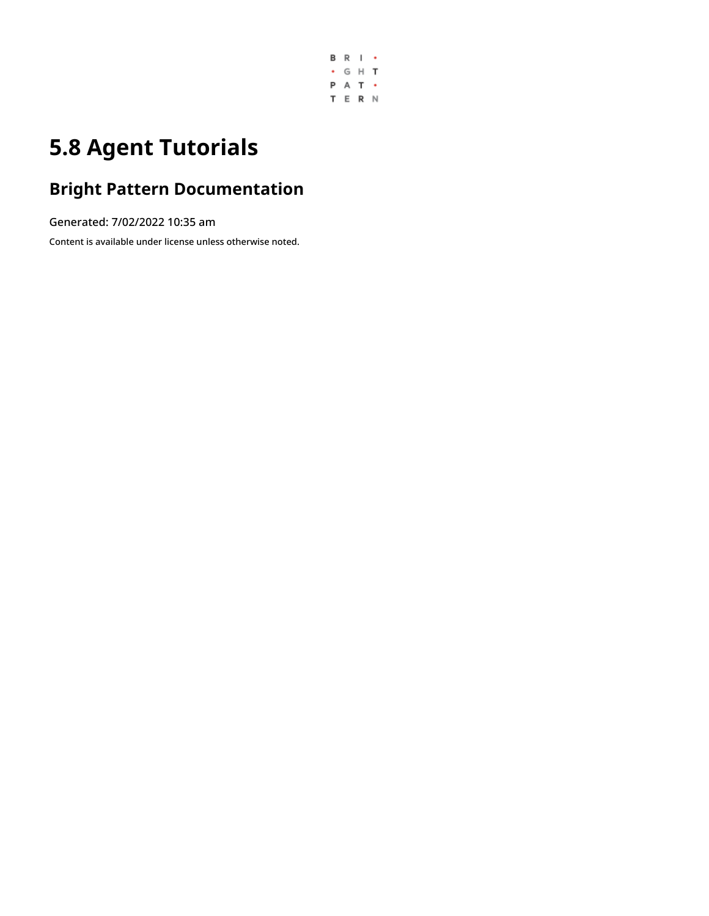

# **5.8 Agent Tutorials**

## **Bright Pattern Documentation**

Generated: 7/02/2022 10:35 am

Content is available under license unless otherwise noted.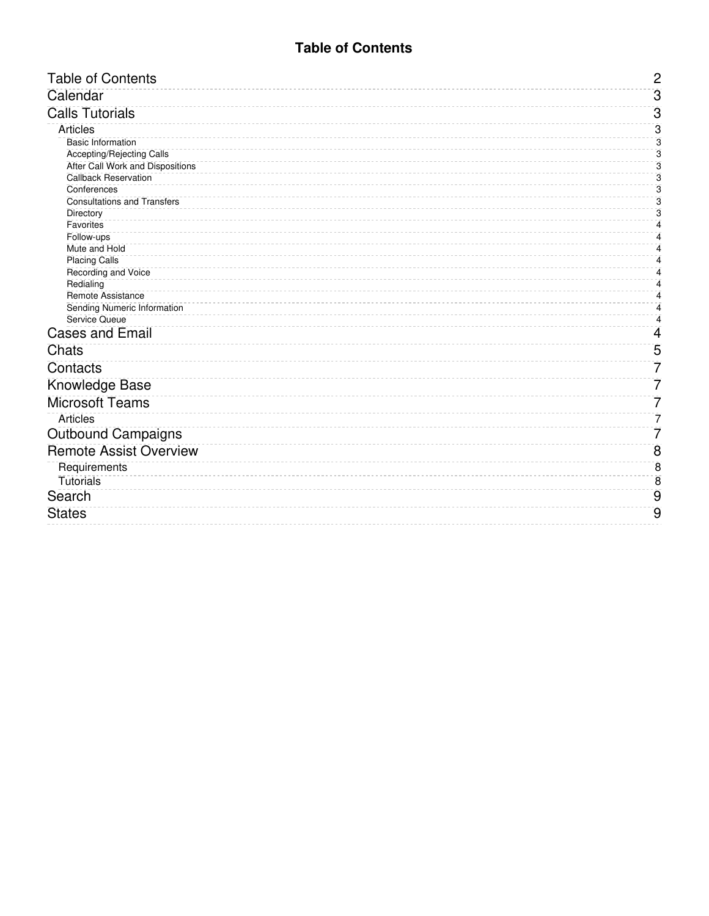## **Table of Contents**

<span id="page-1-0"></span>

| <b>Table of Contents</b>              | $\overline{c}$ |
|---------------------------------------|----------------|
| Calendar                              | $\overline{3}$ |
| <b>Calls Tutorials</b>                | $\overline{3}$ |
| <b>Articles</b>                       | 3              |
| <b>Basic Information</b>              | 3              |
| Accepting/Rejecting Calls             | 3              |
| After Call Work and Dispositions      | 3              |
| <b>Callback Reservation</b>           | $\overline{3}$ |
| Conferences                           | $\overline{3}$ |
| <b>Consultations and Transfers</b>    | 3              |
| Directory                             | 3              |
| Favorites                             | 4              |
| Follow-ups                            | 4              |
| Mute and Hold<br><b>Placing Calls</b> | 4<br>4         |
| Recording and Voice                   | 4              |
| Redialing                             | 4              |
| Remote Assistance                     | 4              |
| Sending Numeric Information           | 4              |
| Service Queue                         | 4              |
| <b>Cases and Email</b>                | 4              |
| Chats                                 | 5              |
| Contacts                              | 7              |
| Knowledge Base                        | 7              |
| <b>Microsoft Teams</b>                | 7              |
| <b>Articles</b>                       | 7              |
| <b>Outbound Campaigns</b>             | 7              |
| <b>Remote Assist Overview</b>         | 8              |
| Requirements                          | $\overline{8}$ |
| <b>Tutorials</b>                      | $\overline{8}$ |
| Search                                | 9              |
|                                       |                |
| <b>States</b>                         | 9              |
|                                       |                |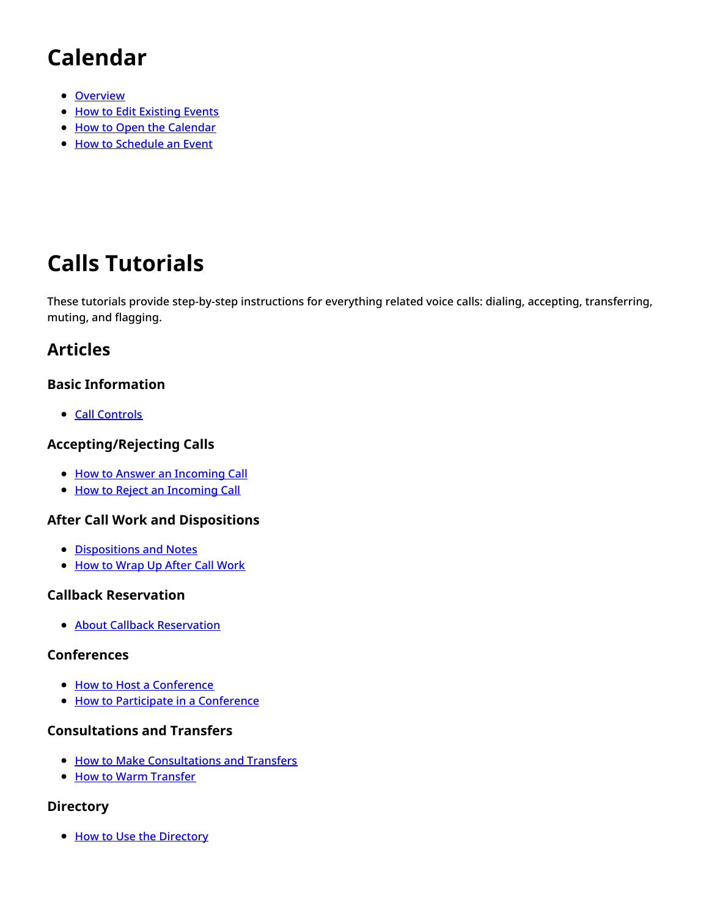# <span id="page-2-0"></span>**Calendar**

- [Overview](https://help.brightpattern.com/5.8:Agent-guide/Tutorials/Overview/?action=html-localimages-export#topic_agent-guide.2Ftutorials.2Fcalendar.2Foverview)
- How to Edit [Existing](https://help.brightpattern.com/5.8:Agent-guide/Tutorials/Overview/?action=html-localimages-export#topic_agent-guide.2Ftutorials.2Fcalendar.2Fhowtoeditexistingevents) Events
- How to Open the [Calendar](https://help.brightpattern.com/5.8:Agent-guide/Tutorials/Overview/?action=html-localimages-export#topic_agent-guide.2Ftutorials.2Fcalendar.2Fhowtoopenthecalendar)
- How to [Schedule](https://help.brightpattern.com/5.8:Agent-guide/Tutorials/Overview/?action=html-localimages-export#topic_agent-guide.2Ftutorials.2Fcalendar.2Fhowtoscheduleanevent) an Event

# <span id="page-2-1"></span>**Calls Tutorials**

These tutorials provide step-by-step instructions for everything related voice calls: dialing, accepting, transferring, muting, and flagging.

## <span id="page-2-2"></span>**Articles**

### <span id="page-2-3"></span>**Basic Information**

• Call [Controls](https://help.brightpattern.com/5.8:Agent-guide/Tutorials/Overview/?action=html-localimages-export#topic_agent-guide.2Ftutorials.2Fcalls.2Fcontrols)

## <span id="page-2-4"></span>**Accepting/Rejecting Calls**

- How to Answer an [Incoming](https://help.brightpattern.com/5.8:Agent-guide/Tutorials/Overview/?action=html-localimages-export#topic_agent-guide.2Ftutorials.2Fcalls.2Fhowtoansweranincomingcall) Call
- How to Reject an [Incoming](https://help.brightpattern.com/5.8:Agent-guide/Tutorials/Overview/?action=html-localimages-export#topic_agent-guide.2Ftutorials.2Fcalls.2Fhowtorejectanincomingcall) Call

## <span id="page-2-5"></span>**After Call Work and Dispositions**

- [Dispositions](https://help.brightpattern.com/5.8:Agent-guide/Tutorials/Overview/?action=html-localimages-export#topic_agent-guide.2Ftutorials.2Fcalls.2Fhowtoenterdispositionsandnotes) and Notes
- How to [Wrap](https://help.brightpattern.com/5.8:Agent-guide/Tutorials/Overview/?action=html-localimages-export#topic_agent-guide.2Ftutorials.2Fcalls.2Fhowtowrapupafter-callwork) Up After Call Work

### <span id="page-2-6"></span>**Callback Reservation**

**• About Callback [Reservation](https://help.brightpattern.com/5.8:Agent-guide/Tutorials/Overview/?action=html-localimages-export#topic_agent-guide.2Ftutorials.2Fcalls.2Faboutcallbackreservation)** 

### <span id="page-2-7"></span>**Conferences**

- How to Host a [Conference](https://help.brightpattern.com/5.8:Agent-guide/Tutorials/Overview/?action=html-localimages-export#topic_agent-guide.2Ftutorials.2Fcalls.2Fhowtohostaconference)
- How to Participate in a [Conference](https://help.brightpattern.com/5.8:Agent-guide/Tutorials/Overview/?action=html-localimages-export#topic_agent-guide.2Ftutorials.2Fcalls.2Fhowtoparticipateinaconference)

## <span id="page-2-8"></span>**Consultations and Transfers**

- How to Make [Consultations](https://help.brightpattern.com/5.8:Agent-guide/Tutorials/Overview/?action=html-localimages-export#topic_agent-guide.2Ftutorials.2Fcalls.2Fconsultationsandtransfers) and Transfers
- How to Warm [Transfer](https://help.brightpattern.com/5.8:Agent-guide/Tutorials/Overview/?action=html-localimages-export#topic_agent-guide.2Ftutorials.2Fcalls.2Fwarmtransfer)

## <span id="page-2-9"></span>**Directory**

• How to Use the [Directory](https://help.brightpattern.com/5.8:Agent-guide/Tutorials/Overview/?action=html-localimages-export#topic_agent-guide.2Ftutorials.2Fcalls.2Fhowtousethedirectory)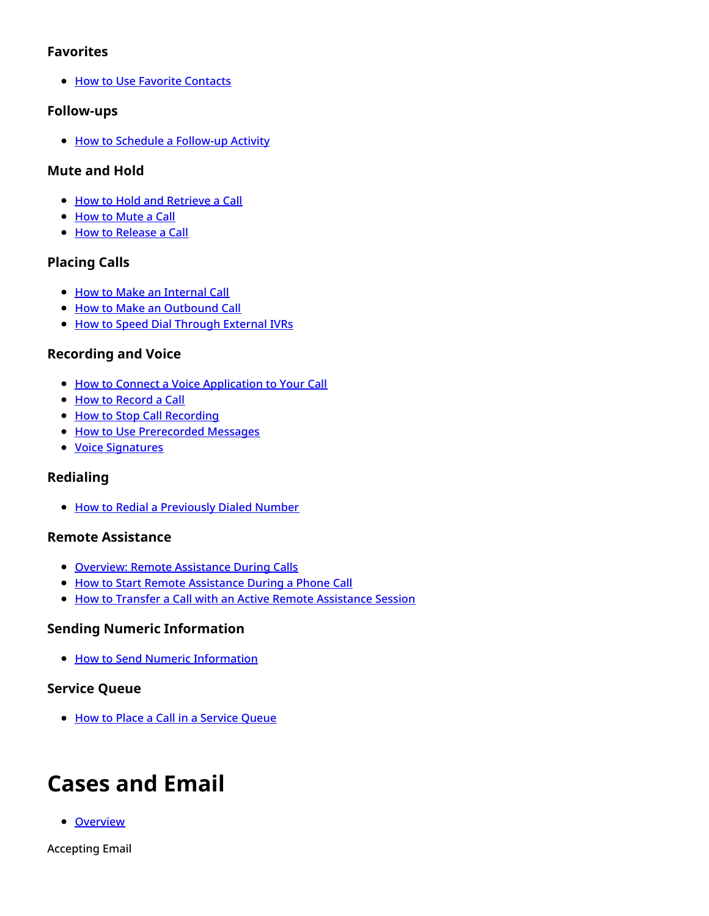### <span id="page-3-0"></span>**Favorites**

**.** How to Use Favorite [Contacts](https://help.brightpattern.com/5.8:Agent-guide/Tutorials/Overview/?action=html-localimages-export#topic_agent-guide.2Ftutorials.2Fcalls.2Fhowtousefavoritecontacts)

### <span id="page-3-1"></span>**Follow-ups**

How to Schedule a [Follow-up](https://help.brightpattern.com/5.8:Agent-guide/Tutorials/Overview/?action=html-localimages-export#topic_agent-guide.2Ftutorials.2Fcalls.2Fhowtoscheduleafollow-upactivity) Activity

### <span id="page-3-2"></span>**Mute and Hold**

- How to Hold and [Retrieve](https://help.brightpattern.com/5.8:Agent-guide/Tutorials/Overview/?action=html-localimages-export#topic_agent-guide.2Ftutorials.2Fcalls.2Fhowtoholdandretrieveacall) a Call
- How to [Mute](https://help.brightpattern.com/5.8:Agent-guide/Tutorials/Overview/?action=html-localimages-export#topic_agent-guide.2Ftutorials.2Fcalls.2Fhowtomuteacall) a Call
- How to [Release](https://help.brightpattern.com/5.8:Agent-guide/Tutorials/Overview/?action=html-localimages-export#topic_agent-guide.2Ftutorials.2Fcalls.2Fhowtoreleaseacall) a Call

### <span id="page-3-3"></span>**Placing Calls**

- How to Make an [Internal](https://help.brightpattern.com/5.8:Agent-guide/Tutorials/Overview/?action=html-localimages-export#topic_agent-guide.2Ftutorials.2Fcalls.2Fhowtomakeaninternalcall) Call
- **How to Make an [Outbound](https://help.brightpattern.com/5.8:Agent-guide/Tutorials/Overview/?action=html-localimages-export#topic_agent-guide.2Ftutorials.2Fcalls.2Fhowtomakeanoutboundcall) Call**
- How to Speed Dial [Through](https://help.brightpattern.com/5.8:Agent-guide/Tutorials/Overview/?action=html-localimages-export#topic_agent-guide.2Ftutorials.2Fcalls.2Fhowtospeeddialthroughexternalivrs) External IVRs

### <span id="page-3-4"></span>**Recording and Voice**

- How to Connect a Voice [Application](https://help.brightpattern.com/5.8:Agent-guide/Tutorials/Overview/?action=html-localimages-export#topic_agent-guide.2Ftutorials.2Fcalls.2Fhowtoconnectavoiceapplicationtoyourcall) to Your Call
- How to [Record](https://help.brightpattern.com/5.8:Agent-guide/Tutorials/Overview/?action=html-localimages-export#topic_agent-guide.2Ftutorials.2Fcalls.2Fhowtorecordacall) a Call
- How to Stop Call [Recording](https://help.brightpattern.com/5.8:Agent-guide/Tutorials/Overview/?action=html-localimages-export#topic_agent-guide.2Ftutorials.2Fcalls.2Fhowtostoporpausecallrecording)
- **.** How to Use [Prerecorded](https://help.brightpattern.com/5.8:Agent-guide/Tutorials/Overview/?action=html-localimages-export#topic_agent-guide.2Ftutorials.2Fcalls.2Fhowtousepre-recordedmessages) Messages
- Voice [Signatures](https://help.brightpattern.com/5.8:Agent-guide/Tutorials/Overview/?action=html-localimages-export#topic_agent-guide.2Ftutorials.2Fcalls.2Fhowtocollectavoicesignature)

## <span id="page-3-5"></span>**Redialing**

• How to Redial a [Previously](https://help.brightpattern.com/5.8:Agent-guide/Tutorials/Overview/?action=html-localimages-export#topic_agent-guide.2Ftutorials.2Fcalls.2Fhowtoredialapreviouslydialednumber) Dialed Number

### <span id="page-3-6"></span>**Remote Assistance**

- Overview: Remote [Assistance](https://help.brightpattern.com/5.8:Agent-guide/Tutorials/Overview/?action=html-localimages-export#topic_agent-guide.2Ftutorials.2Fcalls.2Fremoteassistance) During Calls
- How to Start Remote [Assistance](https://help.brightpattern.com/5.8:Agent-guide/Tutorials/Overview/?action=html-localimages-export#topic_agent-guide.2Ftutorials.2Fcalls.2Finitiateremoteassistancecall) During a Phone Call
- How to Transfer a Call with an Active Remote [Assistance](https://help.brightpattern.com/5.8:Agent-guide/Tutorials/Overview/?action=html-localimages-export#topic_agent-guide.2Ftutorials.2Fcalls.2Ftransfercallwithremoteassistance) Session

## <span id="page-3-7"></span>**Sending Numeric Information**

**• How to Send Numeric [Information](https://help.brightpattern.com/5.8:Agent-guide/Tutorials/Overview/?action=html-localimages-export#topic_agent-guide.2Ftutorials.2Fcalls.2Fhowtosendnumericinformation)** 

### <span id="page-3-8"></span>**Service Queue**

• How to Place a Call in a [Service](https://help.brightpattern.com/5.8:Agent-guide/Tutorials/Overview/?action=html-localimages-export#topic_agent-guide.2Ftutorials.2Fcalls.2Fhowtoplaceacallinaservicequeue) Queue

# <span id="page-3-9"></span>**Cases and Email**

**• [Overview](https://help.brightpattern.com/5.8:Agent-guide/Tutorials/Overview/?action=html-localimages-export#topic_agent-guide.2Ftutorials.2Fcases.2Foverview)** 

Accepting Email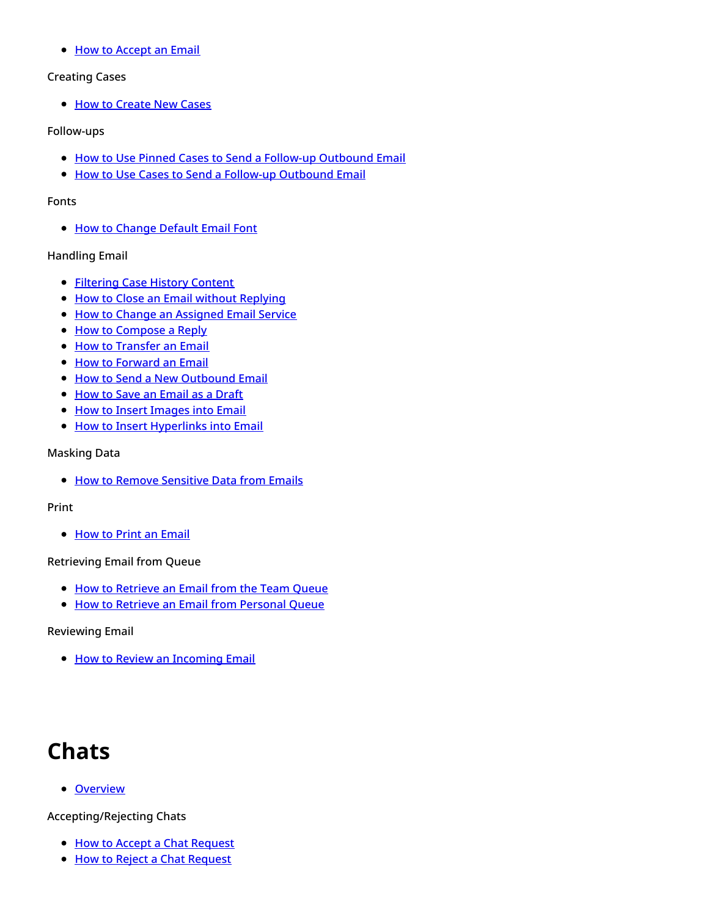• How to [Accept](https://help.brightpattern.com/5.8:Agent-guide/Tutorials/Overview/?action=html-localimages-export#topic_agent-guide.2Ftutorials.2Fcases.2Fhowtoacceptanemail) an Email

#### Creating Cases

• How to [Create](https://help.brightpattern.com/5.8:Agent-guide/Tutorials/Overview/?action=html-localimages-export#topic_agent-guide.2Ftutorials.2Fcases.2Fhowtocreatenewcases) New Cases

#### Follow-ups

- How to Use Pinned Cases to Send a Follow-up [Outbound](https://help.brightpattern.com/5.8:Agent-guide/Tutorials/Overview/?action=html-localimages-export#topic_agent-guide.2Ftutorials.2Fcases.2Fhowtousepinnedcasestosendafollow-upoutboundemail) Email
- How to Use Cases to Send a Follow-up [Outbound](https://help.brightpattern.com/5.8:Agent-guide/Tutorials/Overview/?action=html-localimages-export#topic_agent-guide.2Ftutorials.2Fcases.2Fhowtosendafollow-upoutboundemail) Email

#### Fonts

• How to [Change](https://help.brightpattern.com/5.8:Agent-guide/Tutorials/Overview/?action=html-localimages-export#topic_agent-guide.2Ftutorials.2Fcases.2Fhowtochangedefaultemailfont) Default Email Font

#### Handling Email

- [Filtering](https://help.brightpattern.com/5.8:Agent-guide/Tutorials/Overview/?action=html-localimages-export#topic_agent-guide.2Ftutorials.2Fcases.2Ffilteringhistorycontent) Case History Content
- How to Close an Email without [Replying](https://help.brightpattern.com/5.8:Agent-guide/Tutorials/Overview/?action=html-localimages-export#topic_agent-guide.2Ftutorials.2Fcases.2Fhowtocloseanemailwithoutreplying)
- How to Change an [Assigned](https://help.brightpattern.com/5.8:Agent-guide/Tutorials/Overview/?action=html-localimages-export#topic_agent-guide.2Ftutorials.2Fcases.2Fhowtochangeanassignedemailservice) Email Service
- How to [Compose](https://help.brightpattern.com/5.8:Agent-guide/Tutorials/Overview/?action=html-localimages-export#topic_agent-guide.2Ftutorials.2Fcases.2Fhowtocomposeareply) a Reply
- How to [Transfer](https://help.brightpattern.com/5.8:Agent-guide/Tutorials/Overview/?action=html-localimages-export#topic_agent-guide.2Ftutorials.2Fcases.2Fhowtotransferanemail) an Email
- How to [Forward](https://help.brightpattern.com/5.8:Agent-guide/Tutorials/Overview/?action=html-localimages-export#topic_agent-guide.2Ftutorials.2Fcases.2Fhowtoforwardanemail) an Email
- How to Send a New [Outbound](https://help.brightpattern.com/5.8:Agent-guide/Tutorials/Overview/?action=html-localimages-export#topic_agent-guide.2Ftutorials.2Fcases.2Fhowtosendanewoutboundemail) Email
- How to Save an [Email](https://help.brightpattern.com/5.8:Agent-guide/Tutorials/Overview/?action=html-localimages-export#topic_agent-guide.2Ftutorials.2Fcases.2Fhowtosaveanemailasadraft) as a Draft
- How to Insert [Images](https://help.brightpattern.com/5.8:Agent-guide/Tutorials/Overview/?action=html-localimages-export#topic_agent-guide.2Ftutorials.2Fcases.2Fhowtocopyandpasteimagesintoemail) into Email
- How to Insert [Hyperlinks](https://help.brightpattern.com/5.8:Agent-guide/Tutorials/Overview/?action=html-localimages-export#topic_agent-guide.2Ftutorials.2Fcases.2Fhowtoinserthyperlinksintoemail) into Email

#### Masking Data

**.** How to Remove [Sensitive](https://help.brightpattern.com/5.8:Agent-guide/Tutorials/Overview/?action=html-localimages-export#topic_agent-guide.2Ftutorials.2Fcases.2Fhowtomasksensitivedata) Data from Emails

#### Print

• How to Print an [Email](https://help.brightpattern.com/5.8:Agent-guide/Tutorials/Overview/?action=html-localimages-export#topic_agent-guide.2Ftutorials.2Fcases.2Fhowtoprintanemail)

#### Retrieving Email from Queue

- How to [Retrieve](https://help.brightpattern.com/5.8:Agent-guide/Tutorials/Overview/?action=html-localimages-export#topic_agent-guide.2Ftutorials.2Fcases.2Fhowtoretrieveanemailfromtheteamqueue) an Email from the Team Queue
- How to Retrieve an Email from [Personal](https://help.brightpattern.com/5.8:Agent-guide/Tutorials/Overview/?action=html-localimages-export#topic_agent-guide.2Ftutorials.2Fcases.2Fhowtoretrieveanemailfromyourpersonalqueue) Queue

#### Reviewing Email

• How to Review an [Incoming](https://help.brightpattern.com/5.8:Agent-guide/Tutorials/Overview/?action=html-localimages-export#topic_agent-guide.2Ftutorials.2Fcases.2Fhowtoreviewanincomingemail) Email

## <span id="page-4-0"></span>**Chats**

• [Overview](https://help.brightpattern.com/5.8:Agent-guide/Tutorials/Overview/?action=html-localimages-export#topic_agent-guide.2Ftutorials.2Fchat.2Foverview)

#### Accepting/Rejecting Chats

- How to Accept a Chat [Request](https://help.brightpattern.com/5.8:Agent-guide/Tutorials/Overview/?action=html-localimages-export#topic_agent-guide.2Ftutorials.2Fchat.2Fhowtoacceptachatrequest)
- How to Reject a Chat [Request](https://help.brightpattern.com/5.8:Agent-guide/Tutorials/Overview/?action=html-localimages-export#topic_agent-guide.2Ftutorials.2Fchat.2Fhowtorejectachatrequest)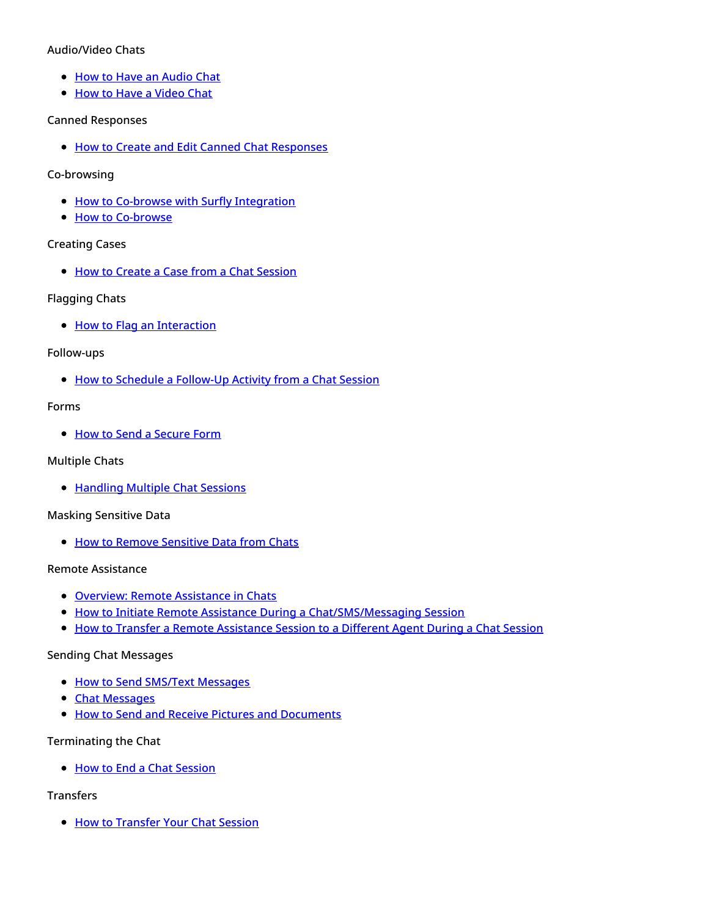#### Audio/Video Chats

- How to Have an [Audio](https://help.brightpattern.com/5.8:Agent-guide/Tutorials/Overview/?action=html-localimages-export#topic_agent-guide.2Ftutorials.2Fchat.2Fhowtohaveanaudiochat) Chat
- How to Have a [Video](https://help.brightpattern.com/5.8:Agent-guide/Tutorials/Overview/?action=html-localimages-export#topic_agent-guide.2Ftutorials.2Fchat.2Fhowtohaveavideochat) Chat

#### Canned Responses

**.** How to Create and Edit Canned Chat [Responses](https://help.brightpattern.com/5.8:Agent-guide/Tutorials/Overview/?action=html-localimages-export#topic_agent-guide.2Ftutorials.2Fchat.2Fhowtocreateandeditcannedchatresponses)

#### Co-browsing

- How to Co-browse with Surfly [Integration](https://help.brightpattern.com/5.8:Agent-guide/Tutorials/Overview/?action=html-localimages-export#topic_agent-guide.2Ftutorials.2Fchat.2Fsurflyco-browsing)
- How to [Co-browse](https://help.brightpattern.com/5.8:Agent-guide/Tutorials/Overview/?action=html-localimages-export#topic_agent-guide.2Ftutorials.2Fchat.2Fco-browsing)

#### Creating Cases

• How to Create a Case from a Chat [Session](https://help.brightpattern.com/5.8:Agent-guide/Tutorials/Overview/?action=html-localimages-export#topic_agent-guide.2Ftutorials.2Fchat.2Fhowtocreateacasefromachatsession)

#### Flagging Chats

• How to Flag an [Interaction](https://help.brightpattern.com/5.8:Agent-guide/Tutorials/Overview/?action=html-localimages-export#topic_agent-guide.2Ftutorials.2Fchat.2Fhowtoflagachatsession)

#### Follow-ups

How to Schedule a [Follow-Up](https://help.brightpattern.com/5.8:Agent-guide/Tutorials/Overview/?action=html-localimages-export#topic_agent-guide.2Ftutorials.2Fchat.2Fhowtoscheduleafollow-upactivityfromachatsession) Activity from a Chat Session

#### Forms

• How to Send a [Secure](https://help.brightpattern.com/5.8:Agent-guide/Tutorials/Overview/?action=html-localimages-export#topic_agent-guide.2Ftutorials.2Fchat.2Fhowtosendasecureform) Form

#### Multiple Chats

• [Handling](https://help.brightpattern.com/5.8:Agent-guide/Tutorials/Overview/?action=html-localimages-export#topic_agent-guide.2Ftutorials.2Fchat.2Fhandlingmultiplechatsessions) Multiple Chat Sessions

#### Masking Sensitive Data

**.** How to Remove [Sensitive](https://help.brightpattern.com/5.8:Agent-guide/Tutorials/Overview/?action=html-localimages-export#topic_agent-guide.2Ftutorials.2Fchat.2Fsensitivedata) Data from Chats

#### Remote Assistance

- **.** Overview: Remote [Assistance](https://help.brightpattern.com/5.8:Agent-guide/Tutorials/Overview/?action=html-localimages-export#topic_agent-guide.2Ftutorials.2Fchat.2Fremoteassistance) in Chats
- How to Initiate Remote Assistance During a [Chat/SMS/Messaging](https://help.brightpattern.com/5.8:Agent-guide/Tutorials/Overview/?action=html-localimages-export#topic_agent-guide.2Ftutorials.2Fchat.2Finitiateremoteassistanceduringchat) Session
- How to Transfer a Remote [Assistance](https://help.brightpattern.com/5.8:Agent-guide/Tutorials/Overview/?action=html-localimages-export#topic_agent-guide.2Ftutorials.2Fchat.2Ftransferremoteassistanceduringchat) Session to a Different Agent During a Chat Session

#### Sending Chat Messages

- How to Send SMS/Text [Messages](https://help.brightpattern.com/5.8:Agent-guide/Tutorials/Overview/?action=html-localimages-export#topic_agent-guide.2Ftutorials.2Fchat.2Fhowtosendsmsmessages)
- **Chat [Messages](https://help.brightpattern.com/5.8:Agent-guide/Tutorials/Overview/?action=html-localimages-export#topic_agent-guide.2Ftutorials.2Fchat.2Fhowtosendchatmessages)**
- **.** How to Send and Receive Pictures and [Documents](https://help.brightpattern.com/5.8:Agent-guide/Tutorials/Overview/?action=html-localimages-export#topic_agent-guide.2Ftutorials.2Fchat.2Fhowtosendandreceivepicturesanddocuments)

#### Terminating the Chat

• How to End a Chat [Session](https://help.brightpattern.com/5.8:Agent-guide/Tutorials/Overview/?action=html-localimages-export#topic_agent-guide.2Ftutorials.2Fchat.2Fhowtoendachatsession)

#### Transfers

• How to [Transfer](https://help.brightpattern.com/5.8:Agent-guide/Tutorials/Overview/?action=html-localimages-export#topic_agent-guide.2Ftutorials.2Fchat.2Fhowtotransferyourchatsession) Your Chat Session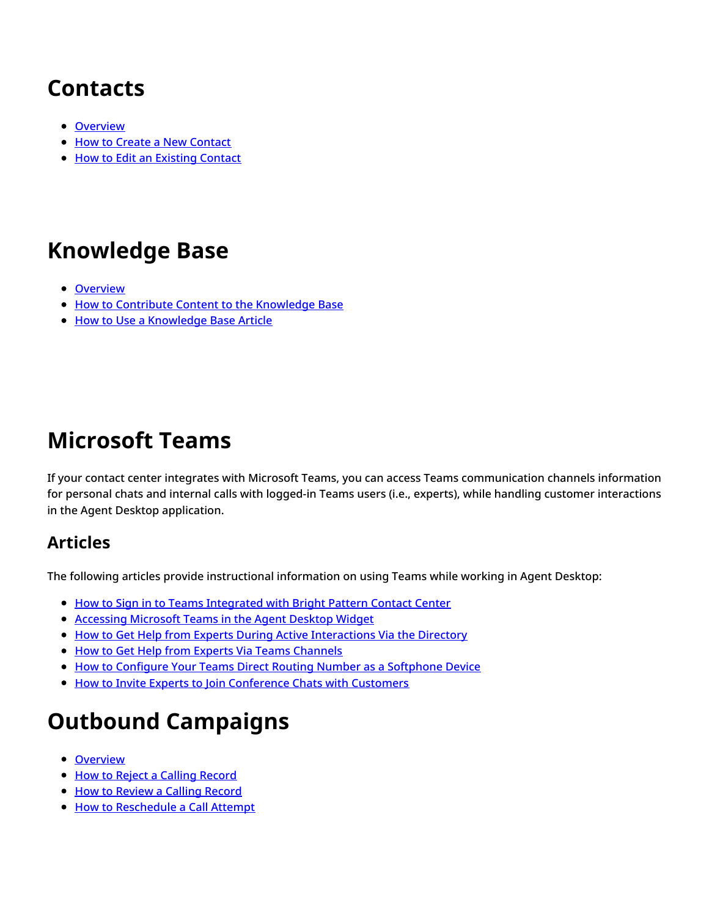# <span id="page-6-0"></span>**Contacts**

- [Overview](https://help.brightpattern.com/5.8:Agent-guide/Tutorials/Overview/?action=html-localimages-export#topic_agent-guide.2Ftutorials.2Fcontacts.2Foverview)
- How to Create a New [Contact](https://help.brightpattern.com/5.8:Agent-guide/Tutorials/Overview/?action=html-localimages-export#topic_agent-guide.2Ftutorials.2Fcontacts.2Fhowtocreateanewcontact)
- How to Edit an [Existing](https://help.brightpattern.com/5.8:Agent-guide/Tutorials/Overview/?action=html-localimages-export#topic_agent-guide.2Ftutorials.2Fcontacts.2Fhowtoaddtoanexistingcontact) Contact

## <span id="page-6-1"></span>**Knowledge Base**

- [Overview](https://help.brightpattern.com/5.8:Agent-guide/Tutorials/Overview/?action=html-localimages-export#topic_agent-guide.2Ftutorials.2Fknowledgebase.2Foverview)
- How to Contribute Content to the [Knowledge](https://help.brightpattern.com/5.8:Agent-guide/Tutorials/Overview/?action=html-localimages-export#topic_agent-guide.2Ftutorials.2Fknowledgebase.2Fhowtocontributecontent) Base
- How to Use a [Knowledge](https://help.brightpattern.com/5.8:Agent-guide/Tutorials/Overview/?action=html-localimages-export#topic_agent-guide.2Ftutorials.2Fknowledgebase.2Fhowtouse) Base Article

## <span id="page-6-2"></span>**Microsoft Teams**

If your contact center integrates with Microsoft Teams, you can access Teams communication channels information for personal chats and internal calls with logged-in Teams users (i.e., experts), while handling customer interactions in the Agent Desktop application.

## <span id="page-6-3"></span>**Articles**

The following articles provide instructional information on using Teams while working in Agent Desktop:

- How to Sign in to Teams [Integrated](https://help.brightpattern.com/5.8:Agent-guide/Tutorials/Overview/?action=html-localimages-export#topic_agent-guide.2Ftutorials.2Fmicrosoftteams.2Flogin) with Bright Pattern Contact Center
- [Accessing](https://help.brightpattern.com/5.8:Agent-guide/Tutorials/Overview/?action=html-localimages-export#topic_agent-guide.2Ftutorials.2Fmicrosoftteams.2Fwidgetaccessmsteams) Microsoft Teams in the Agent Desktop Widget
- How to Get Help from Experts During Active [Interactions](https://help.brightpattern.com/5.8:Agent-guide/Tutorials/Overview/?action=html-localimages-export#topic_agent-guide.2Ftutorials.2Fmicrosoftteams.2Fgetexperthelpviadirectory) Via the Directory
- How to Get Help from Experts Via Teams [Channels](https://help.brightpattern.com/5.8:Agent-guide/Tutorials/Overview/?action=html-localimages-export#topic_agent-guide.2Ftutorials.2Fmicrosoftteams.2Fgetexperthelpviachannels)
- How to Configure Your Teams Direct Routing Number as a [Softphone](https://help.brightpattern.com/5.8:Agent-guide/Tutorials/Overview/?action=html-localimages-export#topic_agent-guide.2Ftutorials.2Fmicrosoftteams.2Fdirectrouting) Device
- How to Invite Experts to Join [Conference](https://help.brightpattern.com/5.8:Agent-guide/Tutorials/Overview/?action=html-localimages-export#topic_agent-guide.2Ftutorials.2Fmicrosoftteams.2Finviteexpertstoconference) Chats with Customers

# <span id="page-6-4"></span>**Outbound Campaigns**

- **[Overview](https://help.brightpattern.com/5.8:Agent-guide/Tutorials/Overview/?action=html-localimages-export#topic_agent-guide.2Ftutorials.2Foutboundcampaigns.2Foverview)**
- How to Reject a Calling [Record](https://help.brightpattern.com/5.8:Agent-guide/Tutorials/Overview/?action=html-localimages-export#topic_agent-guide.2Ftutorials.2Foutboundcampaigns.2Fhowtorejectacallingrecord)
- **How to [Review](https://help.brightpattern.com/5.8:Agent-guide/Tutorials/Overview/?action=html-localimages-export#topic_agent-guide.2Ftutorials.2Foutboundcampaigns.2Fhowtoreviewacallingrecord) a Calling Record**
- How to [Reschedule](https://help.brightpattern.com/5.8:Agent-guide/Tutorials/Overview/?action=html-localimages-export#topic_agent-guide.2Ftutorials.2Foutboundcampaigns.2Fhowtorescheduleacallattempt) a Call Attempt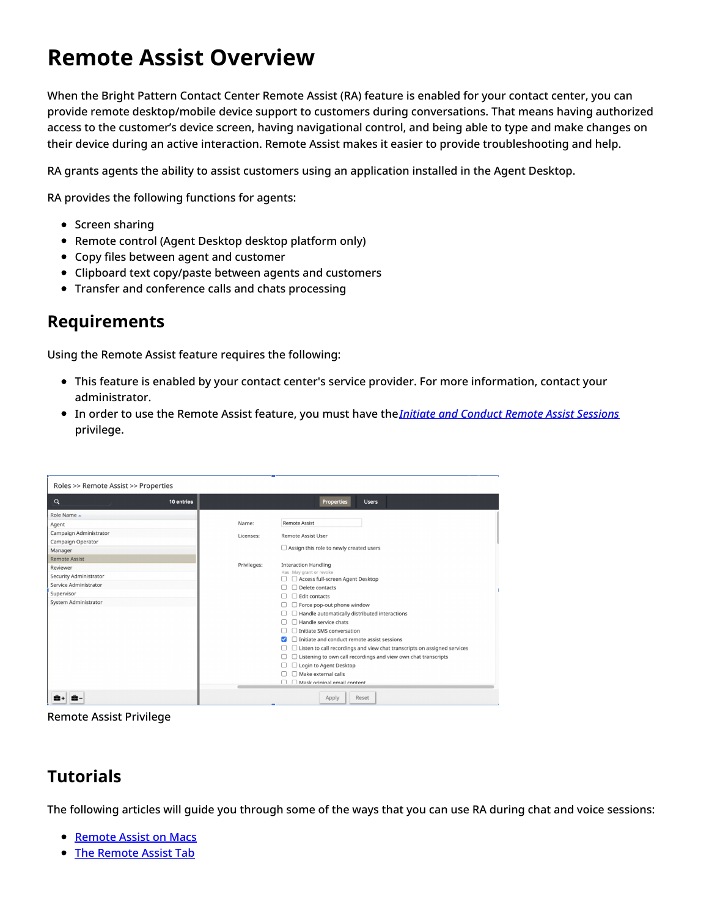# <span id="page-7-0"></span>**Remote Assist Overview**

When the Bright Pattern Contact Center Remote Assist (RA) feature is enabled for your contact center, you can provide remote desktop/mobile device support to customers during conversations. That means having authorized access to the customer's device screen, having navigational control, and being able to type and make changes on their device during an active interaction. Remote Assist makes it easier to provide troubleshooting and help.

RA grants agents the ability to assist customers using an application installed in the Agent Desktop.

RA provides the following functions for agents:

- Screen sharing
- Remote control (Agent Desktop desktop platform only)
- Copy files between agent and customer
- Clipboard text copy/paste between agents and customers
- Transfer and conference calls and chats processing

## <span id="page-7-1"></span>**Requirements**

Using the Remote Assist feature requires the following:

- This feature is enabled by your contact center's service provider. For more information, contact your administrator.
- In order to use the Remote Assist feature, you must have the*Initiate and Conduct Remote Assist [Sessions](https://help.brightpattern.com/5.8:Contact-center-administrator-guide/UsersandTeams/Privileges#Initiate_and_conduct_remote_assist_sessions)* privilege.

| Roles >> Remote Assist >> Properties                                                                                      |            |                    |                                                                                                                                                                                                                                                                                                                                                                                                                                                                                                                                              |  |
|---------------------------------------------------------------------------------------------------------------------------|------------|--------------------|----------------------------------------------------------------------------------------------------------------------------------------------------------------------------------------------------------------------------------------------------------------------------------------------------------------------------------------------------------------------------------------------------------------------------------------------------------------------------------------------------------------------------------------------|--|
| Q                                                                                                                         | 10 entries |                    | <b>Users</b><br><b>Properties</b>                                                                                                                                                                                                                                                                                                                                                                                                                                                                                                            |  |
| Role Name -<br>Agent<br>Campaign Administrator<br>Campaign Operator<br>Manager                                            |            | Name:<br>Licenses: | <b>Remote Assist</b><br><b>Remote Assist User</b><br>$\Box$ Assign this role to newly created users                                                                                                                                                                                                                                                                                                                                                                                                                                          |  |
| <b>Remote Assist</b><br>Reviewer<br>Security Administrator<br>Service Administrator<br>Supervisor<br>System Administrator |            | Privileges:        | <b>Interaction Handling</b><br>Has May grant or revoke<br>Access full-screen Agent Desktop<br>Delete contacts<br>$\Box$ Edit contacts<br>Force pop-out phone window<br>Handle automatically distributed interactions<br>Handle service chats<br>Initiate SMS conversation<br>$\Box$ Initiate and conduct remote assist sessions<br>$\Box$ Listen to call recordings and view chat transcripts on assigned services<br>$\Box$ Listening to own call recordings and view own chat transcripts<br>Login to Agent Desktop<br>Make external calls |  |
|                                                                                                                           |            |                    | Mask original email content<br>Reset<br>Apply                                                                                                                                                                                                                                                                                                                                                                                                                                                                                                |  |

Remote Assist Privilege

## <span id="page-7-2"></span>**Tutorials**

The following articles will guide you through some of the ways that you can use RA during chat and voice sessions:

- [Remote](https://help.brightpattern.com/5.8:Agent-guide/Tutorials/Overview/?action=html-localimages-export#topic_agent-guide.2Ftutorials.2Fra.2Fraonmacos) Assist on Macs
- The [Remote](https://help.brightpattern.com/5.8:Agent-guide/Tutorials/Overview/?action=html-localimages-export#topic_agent-guide.2Ftutorials.2Fra.2Fratab) Assist Tab